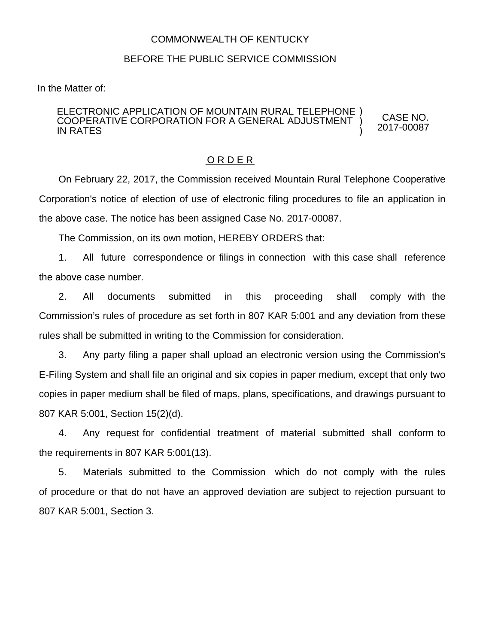## COMMONWEALTH OF KENTUCKY

## BEFORE THE PUBLIC SERVICE COMMISSION

In the Matter of:

## ELECTRONIC APPLICATION OF MOUNTAIN RURAL TELEPHONE ) COOPERATIVE CORPORATION FOR A GENERAL ADJUSTMENT IN RATES ) )

O R D E R

On February 22, 2017, the Commission received Mountain Rural Telephone Cooperative Corporation's notice of election of use of electronic filing procedures to file an application in the above case. The notice has been assigned Case No. 2017-00087.

CASE NO. 2017-00087

The Commission, on its own motion, HEREBY ORDERS that:

1. All future correspondence or filings in connection with this case shall reference the above case number.

2. All documents submitted in this proceeding shall comply with the Commission's rules of procedure as set forth in 807 KAR 5:001 and any deviation from these rules shall be submitted in writing to the Commission for consideration.

3. Any party filing a paper shall upload an electronic version using the Commission's E-Filing System and shall file an original and six copies in paper medium, except that only two copies in paper medium shall be filed of maps, plans, specifications, and drawings pursuant to 807 KAR 5:001, Section 15(2)(d).

4. Any request for confidential treatment of material submitted shall conform to the requirements in 807 KAR 5:001(13).

5. Materials submitted to the Commission which do not comply with the rules of procedure or that do not have an approved deviation are subject to rejection pursuant to 807 KAR 5:001, Section 3.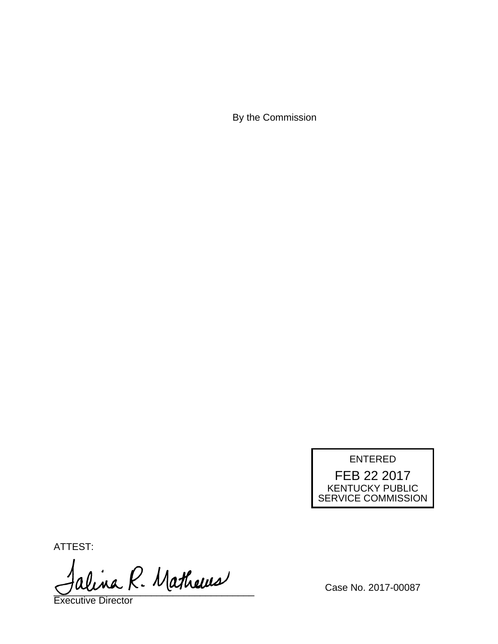By the Commission



ATTEST:

alina R. Mathews

Executive Director

Case No. 2017-00087